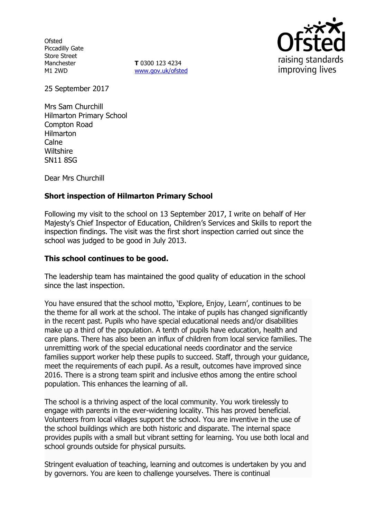**Ofsted** Piccadilly Gate Store Street Manchester M1 2WD

**T** 0300 123 4234 www.gov.uk/ofsted



25 September 2017

Mrs Sam Churchill Hilmarton Primary School Compton Road Hilmarton Calne **Wiltshire** SN11 8SG

Dear Mrs Churchill

# **Short inspection of Hilmarton Primary School**

Following my visit to the school on 13 September 2017, I write on behalf of Her Majesty's Chief Inspector of Education, Children's Services and Skills to report the inspection findings. The visit was the first short inspection carried out since the school was judged to be good in July 2013.

### **This school continues to be good.**

The leadership team has maintained the good quality of education in the school since the last inspection.

You have ensured that the school motto, 'Explore, Enjoy, Learn', continues to be the theme for all work at the school. The intake of pupils has changed significantly in the recent past. Pupils who have special educational needs and/or disabilities make up a third of the population. A tenth of pupils have education, health and care plans. There has also been an influx of children from local service families. The unremitting work of the special educational needs coordinator and the service families support worker help these pupils to succeed. Staff, through your guidance, meet the requirements of each pupil. As a result, outcomes have improved since 2016. There is a strong team spirit and inclusive ethos among the entire school population. This enhances the learning of all.

The school is a thriving aspect of the local community. You work tirelessly to engage with parents in the ever-widening locality. This has proved beneficial. Volunteers from local villages support the school. You are inventive in the use of the school buildings which are both historic and disparate. The internal space provides pupils with a small but vibrant setting for learning. You use both local and school grounds outside for physical pursuits.

Stringent evaluation of teaching, learning and outcomes is undertaken by you and by governors. You are keen to challenge yourselves. There is continual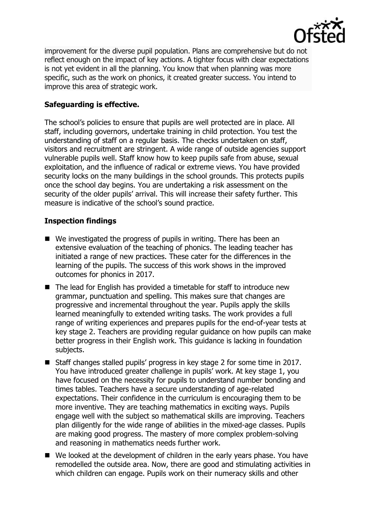

improvement for the diverse pupil population. Plans are comprehensive but do not reflect enough on the impact of key actions. A tighter focus with clear expectations is not yet evident in all the planning. You know that when planning was more specific, such as the work on phonics, it created greater success. You intend to improve this area of strategic work.

# **Safeguarding is effective.**

The school's policies to ensure that pupils are well protected are in place. All staff, including governors, undertake training in child protection. You test the understanding of staff on a regular basis. The checks undertaken on staff, visitors and recruitment are stringent. A wide range of outside agencies support vulnerable pupils well. Staff know how to keep pupils safe from abuse, sexual exploitation, and the influence of radical or extreme views. You have provided security locks on the many buildings in the school grounds. This protects pupils once the school day begins. You are undertaking a risk assessment on the security of the older pupils' arrival. This will increase their safety further. This measure is indicative of the school's sound practice.

# **Inspection findings**

- We investigated the progress of pupils in writing. There has been an extensive evaluation of the teaching of phonics. The leading teacher has initiated a range of new practices. These cater for the differences in the learning of the pupils. The success of this work shows in the improved outcomes for phonics in 2017.
- The lead for English has provided a timetable for staff to introduce new grammar, punctuation and spelling. This makes sure that changes are progressive and incremental throughout the year. Pupils apply the skills learned meaningfully to extended writing tasks. The work provides a full range of writing experiences and prepares pupils for the end-of-year tests at key stage 2. Teachers are providing regular guidance on how pupils can make better progress in their English work. This guidance is lacking in foundation subjects.
- Staff changes stalled pupils' progress in key stage 2 for some time in 2017. You have introduced greater challenge in pupils' work. At key stage 1, you have focused on the necessity for pupils to understand number bonding and times tables. Teachers have a secure understanding of age-related expectations. Their confidence in the curriculum is encouraging them to be more inventive. They are teaching mathematics in exciting ways. Pupils engage well with the subject so mathematical skills are improving. Teachers plan diligently for the wide range of abilities in the mixed-age classes. Pupils are making good progress. The mastery of more complex problem-solving and reasoning in mathematics needs further work.
- We looked at the development of children in the early years phase. You have remodelled the outside area. Now, there are good and stimulating activities in which children can engage. Pupils work on their numeracy skills and other